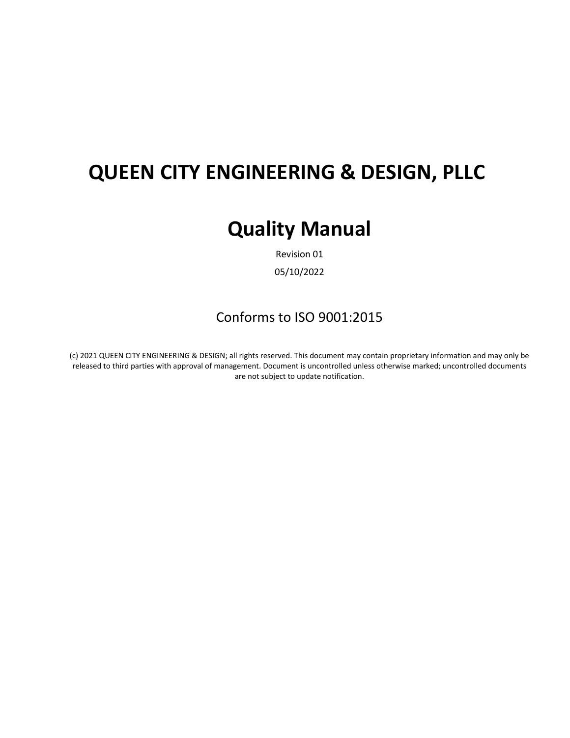# **QUEEN CITY ENGINEERING & DESIGN, PLLC**

# **Quality Manual**

Revision 01

05/10/2022

#### Conforms to ISO 9001:2015

(c) 2021 QUEEN CITY ENGINEERING & DESIGN; all rights reserved. This document may contain proprietary information and may only be released to third parties with approval of management. Document is uncontrolled unless otherwise marked; uncontrolled documents are not subject to update notification.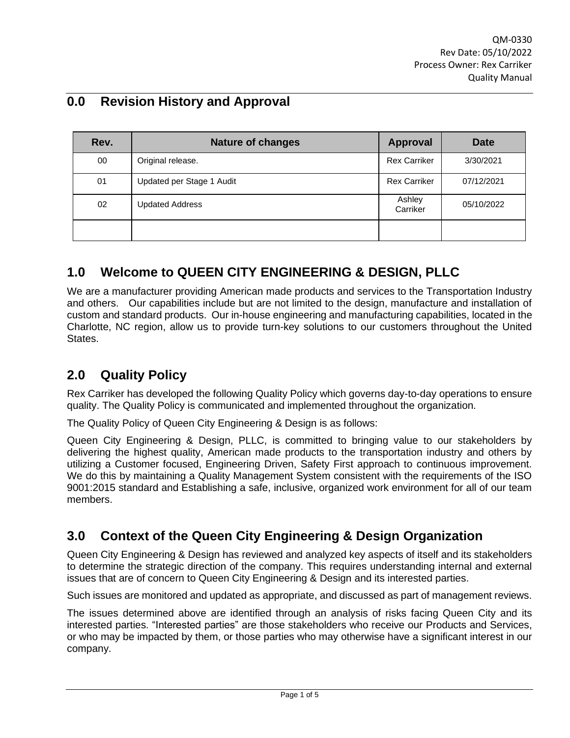## **0.0 Revision History and Approval**

| Rev. | <b>Nature of changes</b>  | <b>Approval</b>     | Date       |
|------|---------------------------|---------------------|------------|
| 00   | Original release.         | <b>Rex Carriker</b> | 3/30/2021  |
| 01   | Updated per Stage 1 Audit | <b>Rex Carriker</b> | 07/12/2021 |
| 02   | <b>Updated Address</b>    | Ashley<br>Carriker  | 05/10/2022 |
|      |                           |                     |            |

### **1.0 Welcome to QUEEN CITY ENGINEERING & DESIGN, PLLC**

We are a manufacturer providing American made products and services to the Transportation Industry and others. Our capabilities include but are not limited to the design, manufacture and installation of custom and standard products. Our in-house engineering and manufacturing capabilities, located in the Charlotte, NC region, allow us to provide turn-key solutions to our customers throughout the United States.

### **2.0 Quality Policy**

Rex Carriker has developed the following Quality Policy which governs day-to-day operations to ensure quality. The Quality Policy is communicated and implemented throughout the organization.

The Quality Policy of Queen City Engineering & Design is as follows:

Queen City Engineering & Design, PLLC, is committed to bringing value to our stakeholders by delivering the highest quality, American made products to the transportation industry and others by utilizing a Customer focused, Engineering Driven, Safety First approach to continuous improvement. We do this by maintaining a Quality Management System consistent with the requirements of the ISO 9001:2015 standard and Establishing a safe, inclusive, organized work environment for all of our team members.

### **3.0 Context of the Queen City Engineering & Design Organization**

Queen City Engineering & Design has reviewed and analyzed key aspects of itself and its stakeholders to determine the strategic direction of the company. This requires understanding internal and external issues that are of concern to Queen City Engineering & Design and its interested parties.

Such issues are monitored and updated as appropriate, and discussed as part of management reviews.

The issues determined above are identified through an analysis of risks facing Queen City and its interested parties. "Interested parties" are those stakeholders who receive our Products and Services, or who may be impacted by them, or those parties who may otherwise have a significant interest in our company.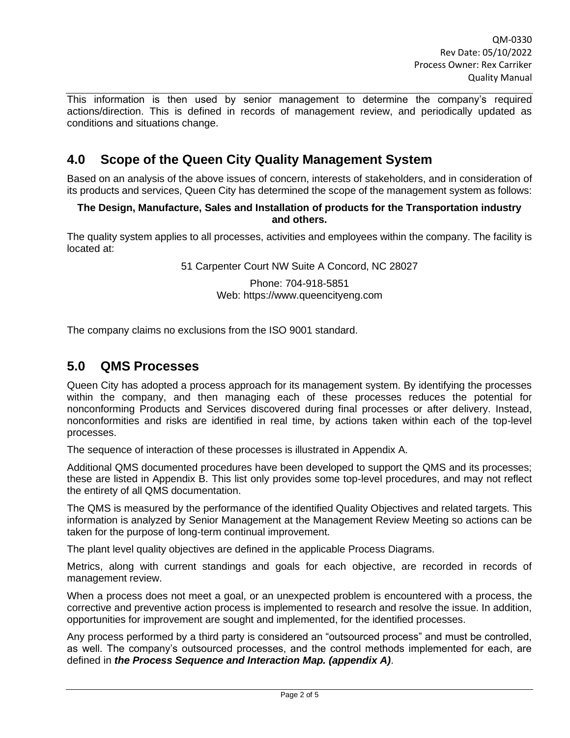This information is then used by senior management to determine the company's required actions/direction. This is defined in records of management review, and periodically updated as conditions and situations change.

#### **4.0 Scope of the Queen City Quality Management System**

Based on an analysis of the above issues of concern, interests of stakeholders, and in consideration of its products and services, Queen City has determined the scope of the management system as follows:

#### **The Design, Manufacture, Sales and Installation of products for the Transportation industry and others.**

The quality system applies to all processes, activities and employees within the company. The facility is located at:

51 Carpenter Court NW Suite A Concord, NC 28027

Phone: 704-918-5851 Web: https://www.queencityeng.com

The company claims no exclusions from the ISO 9001 standard.

#### **5.0 QMS Processes**

Queen City has adopted a process approach for its management system. By identifying the processes within the company, and then managing each of these processes reduces the potential for nonconforming Products and Services discovered during final processes or after delivery. Instead, nonconformities and risks are identified in real time, by actions taken within each of the top-level processes.

The sequence of interaction of these processes is illustrated in Appendix A.

Additional QMS documented procedures have been developed to support the QMS and its processes; these are listed in Appendix B. This list only provides some top-level procedures, and may not reflect the entirety of all QMS documentation.

The QMS is measured by the performance of the identified Quality Objectives and related targets. This information is analyzed by Senior Management at the Management Review Meeting so actions can be taken for the purpose of long-term continual improvement.

The plant level quality objectives are defined in the applicable Process Diagrams.

Metrics, along with current standings and goals for each objective, are recorded in records of management review.

When a process does not meet a goal, or an unexpected problem is encountered with a process, the corrective and preventive action process is implemented to research and resolve the issue. In addition, opportunities for improvement are sought and implemented, for the identified processes.

Any process performed by a third party is considered an "outsourced process" and must be controlled, as well. The company's outsourced processes, and the control methods implemented for each, are defined in *the Process Sequence and Interaction Map. (appendix A)*.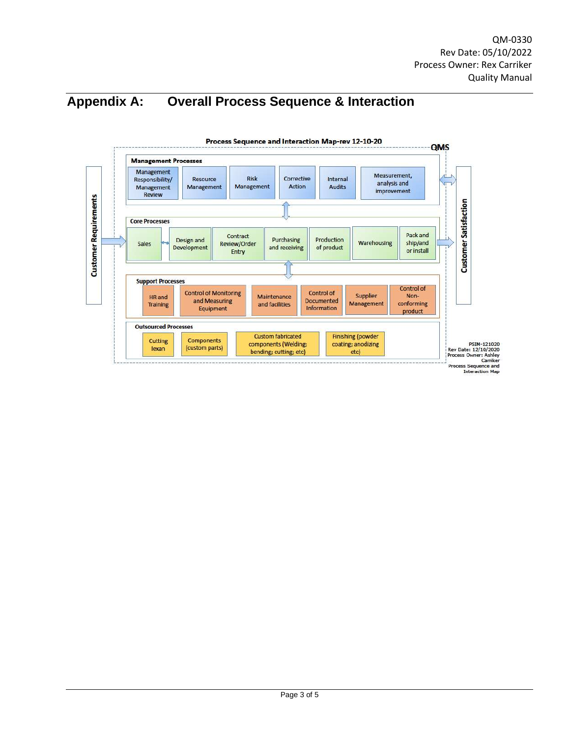## **Appendix A: Overall Process Sequence & Interaction**

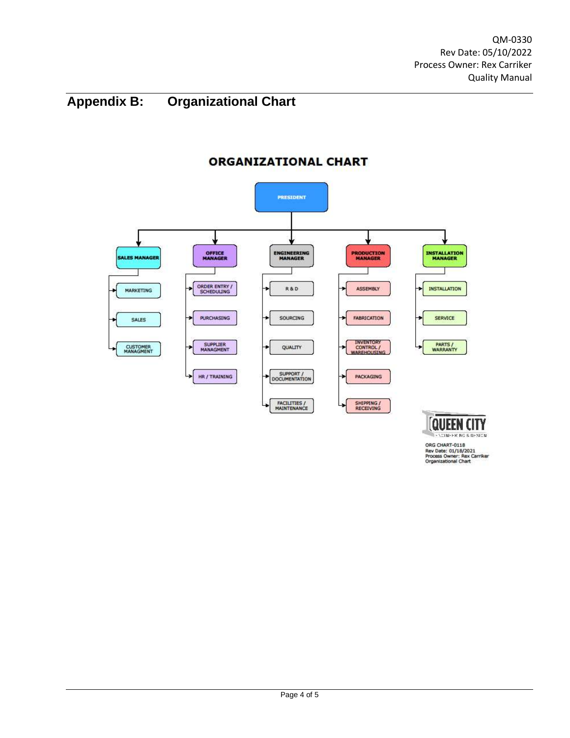## **Appendix B: Organizational Chart**



#### **ORGANIZATIONAL CHART**

CONFERING & DESCN ORG CHART-0118<br>Rev Date: 01/18/2021<br>Process Owner: Rex Carriker<br>Organizational Chart